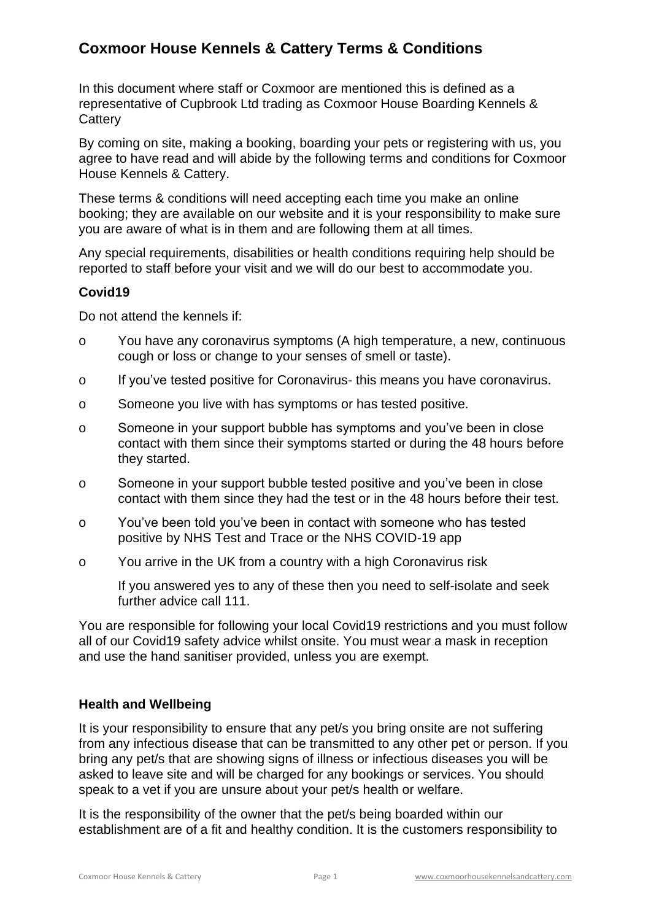In this document where staff or Coxmoor are mentioned this is defined as a representative of Cupbrook Ltd trading as Coxmoor House Boarding Kennels & **Cattery** 

By coming on site, making a booking, boarding your pets or registering with us, you agree to have read and will abide by the following terms and conditions for Coxmoor House Kennels & Cattery.

These terms & conditions will need accepting each time you make an online booking; they are available on our website and it is your responsibility to make sure you are aware of what is in them and are following them at all times.

Any special requirements, disabilities or health conditions requiring help should be reported to staff before your visit and we will do our best to accommodate you.

## **Covid19**

Do not attend the kennels if:

- o You have any coronavirus symptoms (A high temperature, a new, continuous cough or loss or change to your senses of smell or taste).
- o If you've tested positive for Coronavirus- this means you have coronavirus.
- o Someone you live with has symptoms or has tested positive.
- o Someone in your support bubble has symptoms and you've been in close contact with them since their symptoms started or during the 48 hours before they started.
- o Someone in your support bubble tested positive and you've been in close contact with them since they had the test or in the 48 hours before their test.
- o You've been told you've been in contact with someone who has tested positive by NHS Test and Trace or the NHS COVID-19 app
- o You arrive in the UK from a country with a high Coronavirus risk

If you answered yes to any of these then you need to self-isolate and seek further advice call 111.

You are responsible for following your local Covid19 restrictions and you must follow all of our Covid19 safety advice whilst onsite. You must wear a mask in reception and use the hand sanitiser provided, unless you are exempt.

## **Health and Wellbeing**

It is your responsibility to ensure that any pet/s you bring onsite are not suffering from any infectious disease that can be transmitted to any other pet or person. If you bring any pet/s that are showing signs of illness or infectious diseases you will be asked to leave site and will be charged for any bookings or services. You should speak to a vet if you are unsure about your pet/s health or welfare.

It is the responsibility of the owner that the pet/s being boarded within our establishment are of a fit and healthy condition. It is the customers responsibility to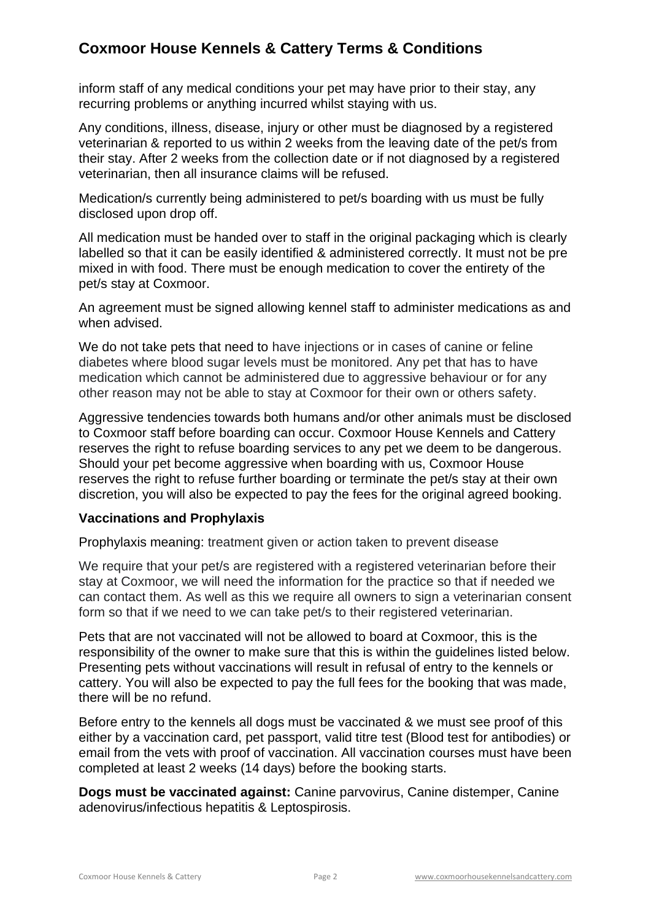inform staff of any medical conditions your pet may have prior to their stay, any recurring problems or anything incurred whilst staying with us.

Any conditions, illness, disease, injury or other must be diagnosed by a registered veterinarian & reported to us within 2 weeks from the leaving date of the pet/s from their stay. After 2 weeks from the collection date or if not diagnosed by a registered veterinarian, then all insurance claims will be refused.

Medication/s currently being administered to pet/s boarding with us must be fully disclosed upon drop off.

All medication must be handed over to staff in the original packaging which is clearly labelled so that it can be easily identified & administered correctly. It must not be pre mixed in with food. There must be enough medication to cover the entirety of the pet/s stay at Coxmoor.

An agreement must be signed allowing kennel staff to administer medications as and when advised.

We do not take pets that need to have injections or in cases of canine or feline diabetes where blood sugar levels must be monitored. Any pet that has to have medication which cannot be administered due to aggressive behaviour or for any other reason may not be able to stay at Coxmoor for their own or others safety.

Aggressive tendencies towards both humans and/or other animals must be disclosed to Coxmoor staff before boarding can occur. Coxmoor House Kennels and Cattery reserves the right to refuse boarding services to any pet we deem to be dangerous. Should your pet become aggressive when boarding with us, Coxmoor House reserves the right to refuse further boarding or terminate the pet/s stay at their own discretion, you will also be expected to pay the fees for the original agreed booking.

#### **Vaccinations and Prophylaxis**

Prophylaxis meaning: treatment given or action taken to prevent disease

We require that your pet/s are registered with a registered veterinarian before their stay at Coxmoor, we will need the information for the practice so that if needed we can contact them. As well as this we require all owners to sign a veterinarian consent form so that if we need to we can take pet/s to their registered veterinarian.

Pets that are not vaccinated will not be allowed to board at Coxmoor, this is the responsibility of the owner to make sure that this is within the guidelines listed below. Presenting pets without vaccinations will result in refusal of entry to the kennels or cattery. You will also be expected to pay the full fees for the booking that was made, there will be no refund.

Before entry to the kennels all dogs must be vaccinated & we must see proof of this either by a vaccination card, pet passport, valid titre test (Blood test for antibodies) or email from the vets with proof of vaccination. All vaccination courses must have been completed at least 2 weeks (14 days) before the booking starts.

**Dogs must be vaccinated against:** Canine parvovirus, Canine distemper, Canine adenovirus/infectious hepatitis & Leptospirosis.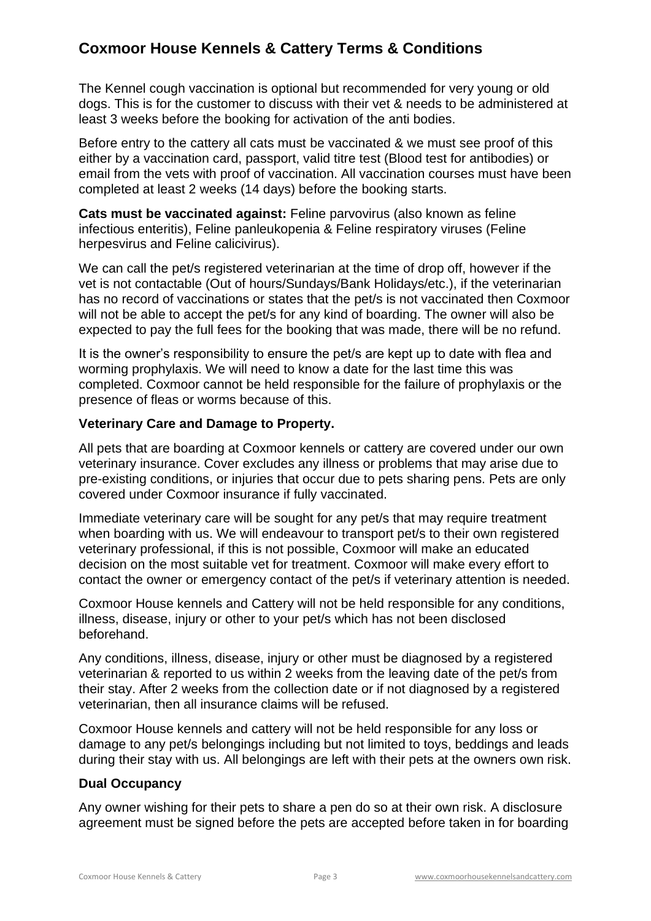The Kennel cough vaccination is optional but recommended for very young or old dogs. This is for the customer to discuss with their vet & needs to be administered at least 3 weeks before the booking for activation of the anti bodies.

Before entry to the cattery all cats must be vaccinated & we must see proof of this either by a vaccination card, passport, valid titre test (Blood test for antibodies) or email from the vets with proof of vaccination. All vaccination courses must have been completed at least 2 weeks (14 days) before the booking starts.

**Cats must be vaccinated against:** Feline parvovirus (also known as feline infectious enteritis), Feline panleukopenia & Feline respiratory viruses (Feline herpesvirus and Feline calicivirus).

We can call the pet/s registered veterinarian at the time of drop off, however if the vet is not contactable (Out of hours/Sundays/Bank Holidays/etc.), if the veterinarian has no record of vaccinations or states that the pet/s is not vaccinated then Coxmoor will not be able to accept the pet/s for any kind of boarding. The owner will also be expected to pay the full fees for the booking that was made, there will be no refund.

It is the owner's responsibility to ensure the pet/s are kept up to date with flea and worming prophylaxis. We will need to know a date for the last time this was completed. Coxmoor cannot be held responsible for the failure of prophylaxis or the presence of fleas or worms because of this.

#### **Veterinary Care and Damage to Property.**

All pets that are boarding at Coxmoor kennels or cattery are covered under our own veterinary insurance. Cover excludes any illness or problems that may arise due to pre-existing conditions, or injuries that occur due to pets sharing pens. Pets are only covered under Coxmoor insurance if fully vaccinated.

Immediate veterinary care will be sought for any pet/s that may require treatment when boarding with us. We will endeavour to transport pet/s to their own registered veterinary professional, if this is not possible, Coxmoor will make an educated decision on the most suitable vet for treatment. Coxmoor will make every effort to contact the owner or emergency contact of the pet/s if veterinary attention is needed.

Coxmoor House kennels and Cattery will not be held responsible for any conditions, illness, disease, injury or other to your pet/s which has not been disclosed beforehand.

Any conditions, illness, disease, injury or other must be diagnosed by a registered veterinarian & reported to us within 2 weeks from the leaving date of the pet/s from their stay. After 2 weeks from the collection date or if not diagnosed by a registered veterinarian, then all insurance claims will be refused.

Coxmoor House kennels and cattery will not be held responsible for any loss or damage to any pet/s belongings including but not limited to toys, beddings and leads during their stay with us. All belongings are left with their pets at the owners own risk.

## **Dual Occupancy**

Any owner wishing for their pets to share a pen do so at their own risk. A disclosure agreement must be signed before the pets are accepted before taken in for boarding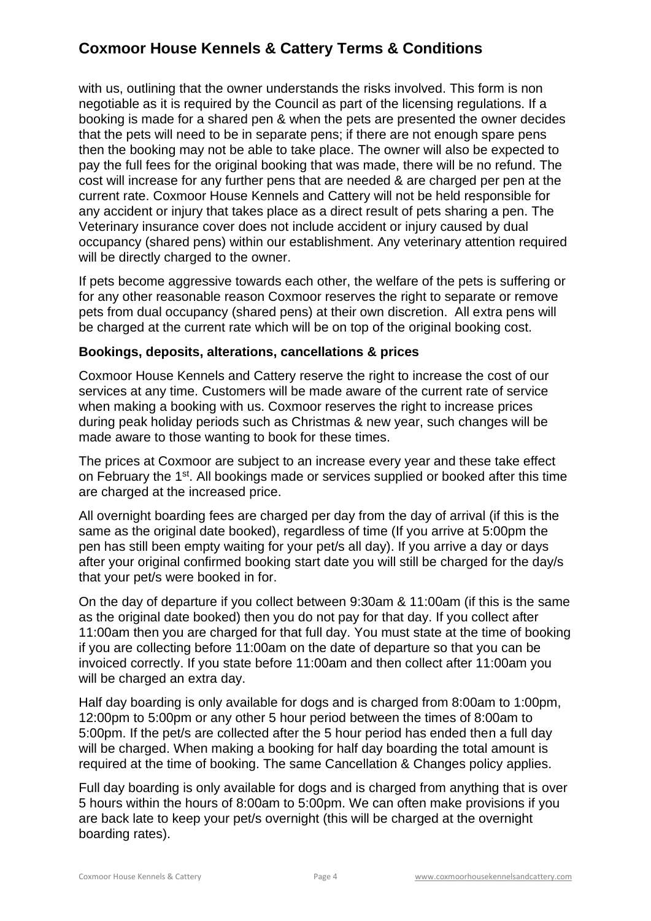with us, outlining that the owner understands the risks involved. This form is non negotiable as it is required by the Council as part of the licensing regulations. If a booking is made for a shared pen & when the pets are presented the owner decides that the pets will need to be in separate pens; if there are not enough spare pens then the booking may not be able to take place. The owner will also be expected to pay the full fees for the original booking that was made, there will be no refund. The cost will increase for any further pens that are needed & are charged per pen at the current rate. Coxmoor House Kennels and Cattery will not be held responsible for any accident or injury that takes place as a direct result of pets sharing a pen. The Veterinary insurance cover does not include accident or injury caused by dual occupancy (shared pens) within our establishment. Any veterinary attention required will be directly charged to the owner.

If pets become aggressive towards each other, the welfare of the pets is suffering or for any other reasonable reason Coxmoor reserves the right to separate or remove pets from dual occupancy (shared pens) at their own discretion. All extra pens will be charged at the current rate which will be on top of the original booking cost.

#### **Bookings, deposits, alterations, cancellations & prices**

Coxmoor House Kennels and Cattery reserve the right to increase the cost of our services at any time. Customers will be made aware of the current rate of service when making a booking with us. Coxmoor reserves the right to increase prices during peak holiday periods such as Christmas & new year, such changes will be made aware to those wanting to book for these times.

The prices at Coxmoor are subject to an increase every year and these take effect on February the 1st. All bookings made or services supplied or booked after this time are charged at the increased price.

All overnight boarding fees are charged per day from the day of arrival (if this is the same as the original date booked), regardless of time (If you arrive at 5:00pm the pen has still been empty waiting for your pet/s all day). If you arrive a day or days after your original confirmed booking start date you will still be charged for the day/s that your pet/s were booked in for.

On the day of departure if you collect between 9:30am & 11:00am (if this is the same as the original date booked) then you do not pay for that day. If you collect after 11:00am then you are charged for that full day. You must state at the time of booking if you are collecting before 11:00am on the date of departure so that you can be invoiced correctly. If you state before 11:00am and then collect after 11:00am you will be charged an extra day.

Half day boarding is only available for dogs and is charged from 8:00am to 1:00pm, 12:00pm to 5:00pm or any other 5 hour period between the times of 8:00am to 5:00pm. If the pet/s are collected after the 5 hour period has ended then a full day will be charged. When making a booking for half day boarding the total amount is required at the time of booking. The same Cancellation & Changes policy applies.

Full day boarding is only available for dogs and is charged from anything that is over 5 hours within the hours of 8:00am to 5:00pm. We can often make provisions if you are back late to keep your pet/s overnight (this will be charged at the overnight boarding rates).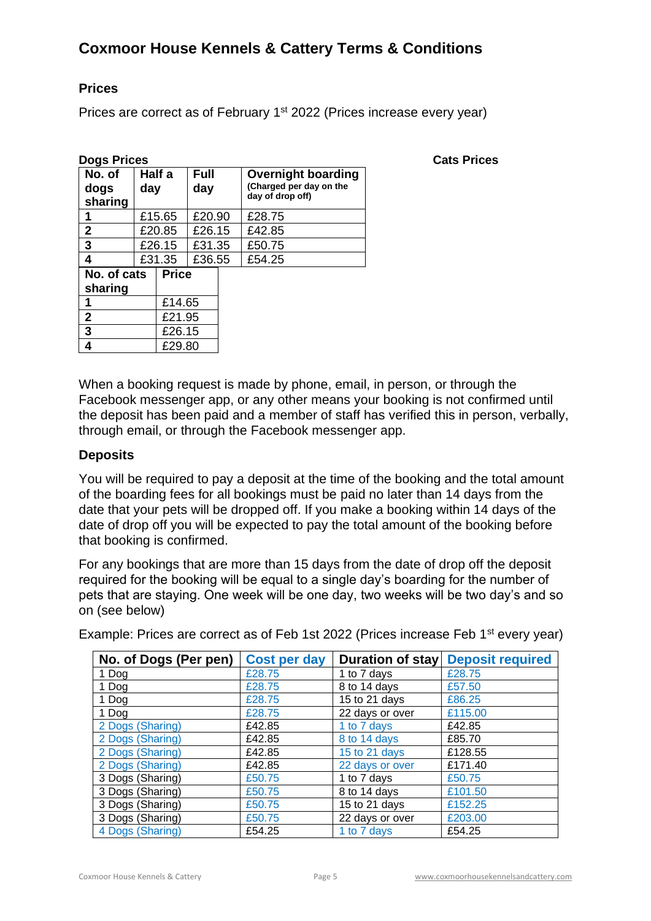## **Prices**

Prices are correct as of February 1<sup>st</sup> 2022 (Prices increase every year)

| <b>Dogs Prices</b>        |               |              |                    |  |                                                                          | <b>Cats Prices</b> |
|---------------------------|---------------|--------------|--------------------|--|--------------------------------------------------------------------------|--------------------|
| No. of<br>dogs<br>sharing | Half a<br>day |              | <b>Full</b><br>day |  | <b>Overnight boarding</b><br>(Charged per day on the<br>day of drop off) |                    |
|                           |               | £15.65       | £20.90             |  | £28.75                                                                   |                    |
| $\mathbf 2$               |               | £20.85       | £26.15             |  | £42.85                                                                   |                    |
| 3                         |               | £26.15       | £31.35             |  | £50.75                                                                   |                    |
| 4                         |               | £31.35       | £36.55             |  | £54.25                                                                   |                    |
| No. of cats<br>sharing    |               | <b>Price</b> |                    |  |                                                                          |                    |
|                           |               | £14.65       |                    |  |                                                                          |                    |
| $\mathbf{2}$              |               | £21.95       |                    |  |                                                                          |                    |
| 3                         |               | £26.15       |                    |  |                                                                          |                    |
| 4                         |               | £29.80       |                    |  |                                                                          |                    |

When a booking request is made by phone, email, in person, or through the Facebook messenger app, or any other means your booking is not confirmed until the deposit has been paid and a member of staff has verified this in person, verbally, through email, or through the Facebook messenger app.

#### **Deposits**

You will be required to pay a deposit at the time of the booking and the total amount of the boarding fees for all bookings must be paid no later than 14 days from the date that your pets will be dropped off. If you make a booking within 14 days of the date of drop off you will be expected to pay the total amount of the booking before that booking is confirmed.

For any bookings that are more than 15 days from the date of drop off the deposit required for the booking will be equal to a single day's boarding for the number of pets that are staying. One week will be one day, two weeks will be two day's and so on (see below)

|  |  | Example: Prices are correct as of Feb 1st 2022 (Prices increase Feb 1 <sup>st</sup> every year) |  |
|--|--|-------------------------------------------------------------------------------------------------|--|
|  |  |                                                                                                 |  |

| No. of Dogs (Per pen) | <b>Cost per day</b> | <b>Duration of stay</b> | <b>Deposit required</b> |
|-----------------------|---------------------|-------------------------|-------------------------|
| 1 Dog                 | £28.75              | 1 to 7 days             | £28.75                  |
| 1 Dog                 | £28.75              | 8 to 14 days            | £57.50                  |
| 1 Dog                 | £28.75              | 15 to 21 days           | £86.25                  |
| 1 Dog                 | £28.75              | 22 days or over         | £115.00                 |
| 2 Dogs (Sharing)      | £42.85              | 1 to 7 days             | £42.85                  |
| 2 Dogs (Sharing)      | £42.85              | 8 to 14 days            | £85.70                  |
| 2 Dogs (Sharing)      | £42.85              | 15 to 21 days           | £128.55                 |
| 2 Dogs (Sharing)      | £42.85              | 22 days or over         | £171.40                 |
| 3 Dogs (Sharing)      | £50.75              | 1 to 7 days             | £50.75                  |
| 3 Dogs (Sharing)      | £50.75              | 8 to 14 days            | £101.50                 |
| 3 Dogs (Sharing)      | £50.75              | 15 to 21 days           | £152.25                 |
| 3 Dogs (Sharing)      | £50.75              | 22 days or over         | £203.00                 |
| 4 Dogs (Sharing)      | £54.25              | 1 to 7 days             | £54.25                  |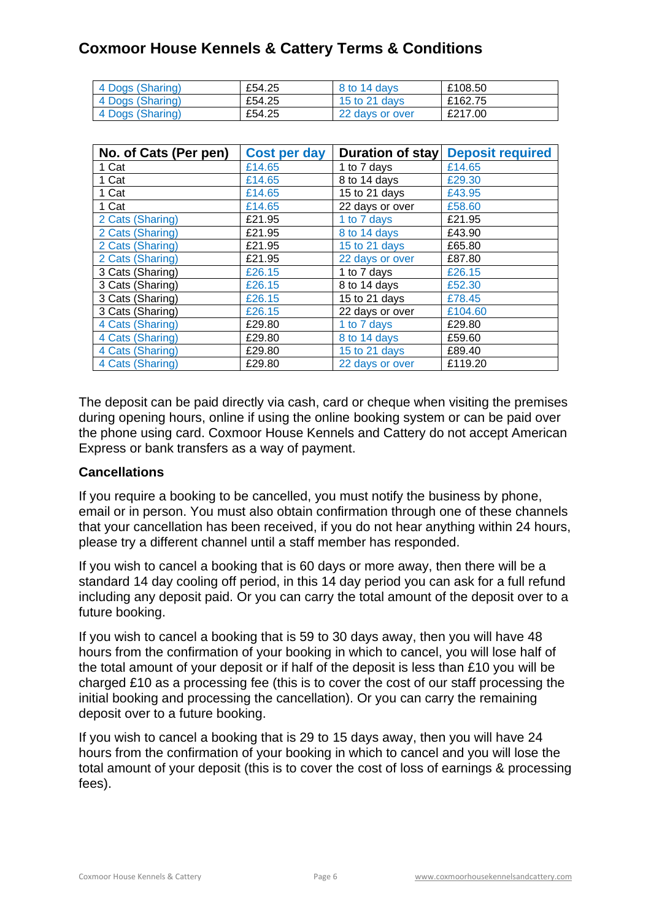| 4 Dogs (Sharing) | £54.25 | 8 to 14 days    | £108.50 |
|------------------|--------|-----------------|---------|
| 4 Dogs (Sharing) | £54.25 | 15 to 21 days   | £162.75 |
| 4 Dogs (Sharing) | £54.25 | 22 days or over | £217.00 |

| No. of Cats (Per pen) | Cost per day | Duration of stay | <b>Deposit required</b> |
|-----------------------|--------------|------------------|-------------------------|
| 1 Cat                 | £14.65       | 1 to 7 days      | £14.65                  |
| 1 Cat                 | £14.65       | 8 to 14 days     | £29.30                  |
| 1 Cat                 | £14.65       | 15 to 21 days    | £43.95                  |
| 1 Cat                 | £14.65       | 22 days or over  | £58.60                  |
| 2 Cats (Sharing)      | £21.95       | 1 to 7 days      | £21.95                  |
| 2 Cats (Sharing)      | £21.95       | 8 to 14 days     | £43.90                  |
| 2 Cats (Sharing)      | £21.95       | 15 to 21 days    | £65.80                  |
| 2 Cats (Sharing)      | £21.95       | 22 days or over  | £87.80                  |
| 3 Cats (Sharing)      | £26.15       | 1 to 7 days      | £26.15                  |
| 3 Cats (Sharing)      | £26.15       | 8 to 14 days     | £52.30                  |
| 3 Cats (Sharing)      | £26.15       | 15 to 21 days    | £78.45                  |
| 3 Cats (Sharing)      | £26.15       | 22 days or over  | £104.60                 |
| 4 Cats (Sharing)      | £29.80       | 1 to 7 days      | £29.80                  |
| 4 Cats (Sharing)      | £29.80       | 8 to 14 days     | £59.60                  |
| 4 Cats (Sharing)      | £29.80       | 15 to 21 days    | £89.40                  |
| 4 Cats (Sharing)      | £29.80       | 22 days or over  | £119.20                 |

The deposit can be paid directly via cash, card or cheque when visiting the premises during opening hours, online if using the online booking system or can be paid over the phone using card. Coxmoor House Kennels and Cattery do not accept American Express or bank transfers as a way of payment.

## **Cancellations**

If you require a booking to be cancelled, you must notify the business by phone, email or in person. You must also obtain confirmation through one of these channels that your cancellation has been received, if you do not hear anything within 24 hours, please try a different channel until a staff member has responded.

If you wish to cancel a booking that is 60 days or more away, then there will be a standard 14 day cooling off period, in this 14 day period you can ask for a full refund including any deposit paid. Or you can carry the total amount of the deposit over to a future booking.

If you wish to cancel a booking that is 59 to 30 days away, then you will have 48 hours from the confirmation of your booking in which to cancel, you will lose half of the total amount of your deposit or if half of the deposit is less than £10 you will be charged £10 as a processing fee (this is to cover the cost of our staff processing the initial booking and processing the cancellation). Or you can carry the remaining deposit over to a future booking.

If you wish to cancel a booking that is 29 to 15 days away, then you will have 24 hours from the confirmation of your booking in which to cancel and you will lose the total amount of your deposit (this is to cover the cost of loss of earnings & processing fees).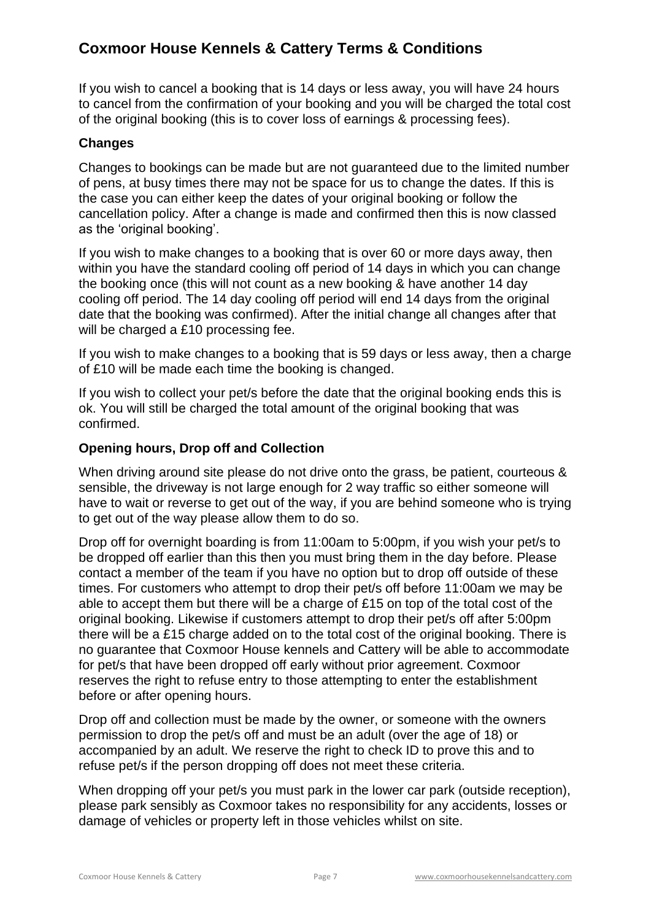If you wish to cancel a booking that is 14 days or less away, you will have 24 hours to cancel from the confirmation of your booking and you will be charged the total cost of the original booking (this is to cover loss of earnings & processing fees).

## **Changes**

Changes to bookings can be made but are not guaranteed due to the limited number of pens, at busy times there may not be space for us to change the dates. If this is the case you can either keep the dates of your original booking or follow the cancellation policy. After a change is made and confirmed then this is now classed as the 'original booking'.

If you wish to make changes to a booking that is over 60 or more days away, then within you have the standard cooling off period of 14 days in which you can change the booking once (this will not count as a new booking & have another 14 day cooling off period. The 14 day cooling off period will end 14 days from the original date that the booking was confirmed). After the initial change all changes after that will be charged a £10 processing fee.

If you wish to make changes to a booking that is 59 days or less away, then a charge of £10 will be made each time the booking is changed.

If you wish to collect your pet/s before the date that the original booking ends this is ok. You will still be charged the total amount of the original booking that was confirmed.

## **Opening hours, Drop off and Collection**

When driving around site please do not drive onto the grass, be patient, courteous & sensible, the driveway is not large enough for 2 way traffic so either someone will have to wait or reverse to get out of the way, if you are behind someone who is trying to get out of the way please allow them to do so.

Drop off for overnight boarding is from 11:00am to 5:00pm, if you wish your pet/s to be dropped off earlier than this then you must bring them in the day before. Please contact a member of the team if you have no option but to drop off outside of these times. For customers who attempt to drop their pet/s off before 11:00am we may be able to accept them but there will be a charge of £15 on top of the total cost of the original booking. Likewise if customers attempt to drop their pet/s off after 5:00pm there will be a £15 charge added on to the total cost of the original booking. There is no guarantee that Coxmoor House kennels and Cattery will be able to accommodate for pet/s that have been dropped off early without prior agreement. Coxmoor reserves the right to refuse entry to those attempting to enter the establishment before or after opening hours.

Drop off and collection must be made by the owner, or someone with the owners permission to drop the pet/s off and must be an adult (over the age of 18) or accompanied by an adult. We reserve the right to check ID to prove this and to refuse pet/s if the person dropping off does not meet these criteria.

When dropping off your pet/s you must park in the lower car park (outside reception), please park sensibly as Coxmoor takes no responsibility for any accidents, losses or damage of vehicles or property left in those vehicles whilst on site.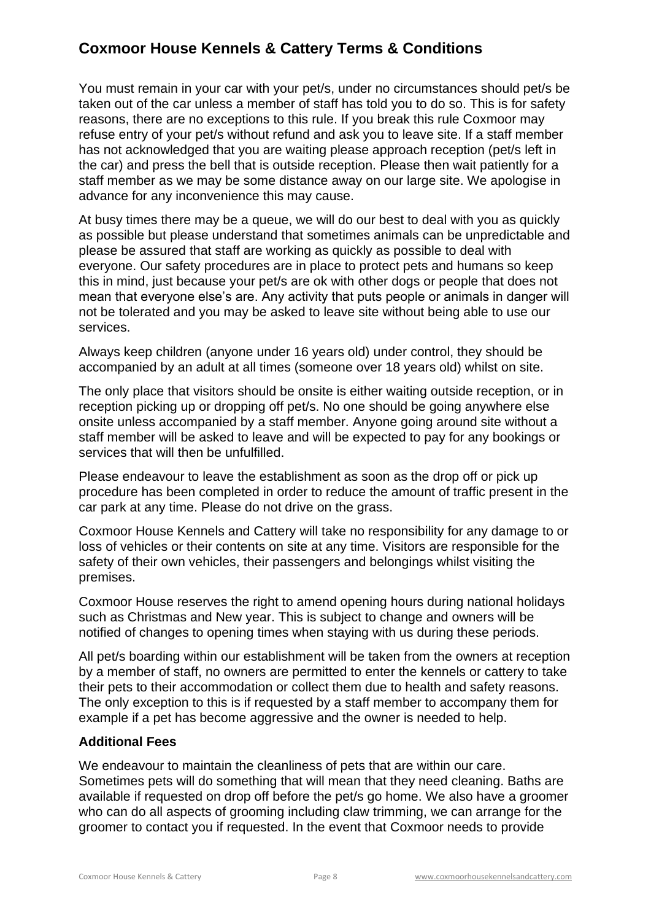You must remain in your car with your pet/s, under no circumstances should pet/s be taken out of the car unless a member of staff has told you to do so. This is for safety reasons, there are no exceptions to this rule. If you break this rule Coxmoor may refuse entry of your pet/s without refund and ask you to leave site. If a staff member has not acknowledged that you are waiting please approach reception (pet/s left in the car) and press the bell that is outside reception. Please then wait patiently for a staff member as we may be some distance away on our large site. We apologise in advance for any inconvenience this may cause.

At busy times there may be a queue, we will do our best to deal with you as quickly as possible but please understand that sometimes animals can be unpredictable and please be assured that staff are working as quickly as possible to deal with everyone. Our safety procedures are in place to protect pets and humans so keep this in mind, just because your pet/s are ok with other dogs or people that does not mean that everyone else's are. Any activity that puts people or animals in danger will not be tolerated and you may be asked to leave site without being able to use our services.

Always keep children (anyone under 16 years old) under control, they should be accompanied by an adult at all times (someone over 18 years old) whilst on site.

The only place that visitors should be onsite is either waiting outside reception, or in reception picking up or dropping off pet/s. No one should be going anywhere else onsite unless accompanied by a staff member. Anyone going around site without a staff member will be asked to leave and will be expected to pay for any bookings or services that will then be unfulfilled.

Please endeavour to leave the establishment as soon as the drop off or pick up procedure has been completed in order to reduce the amount of traffic present in the car park at any time. Please do not drive on the grass.

Coxmoor House Kennels and Cattery will take no responsibility for any damage to or loss of vehicles or their contents on site at any time. Visitors are responsible for the safety of their own vehicles, their passengers and belongings whilst visiting the premises.

Coxmoor House reserves the right to amend opening hours during national holidays such as Christmas and New year. This is subject to change and owners will be notified of changes to opening times when staying with us during these periods.

All pet/s boarding within our establishment will be taken from the owners at reception by a member of staff, no owners are permitted to enter the kennels or cattery to take their pets to their accommodation or collect them due to health and safety reasons. The only exception to this is if requested by a staff member to accompany them for example if a pet has become aggressive and the owner is needed to help.

## **Additional Fees**

We endeavour to maintain the cleanliness of pets that are within our care. Sometimes pets will do something that will mean that they need cleaning. Baths are available if requested on drop off before the pet/s go home. We also have a groomer who can do all aspects of grooming including claw trimming, we can arrange for the groomer to contact you if requested. In the event that Coxmoor needs to provide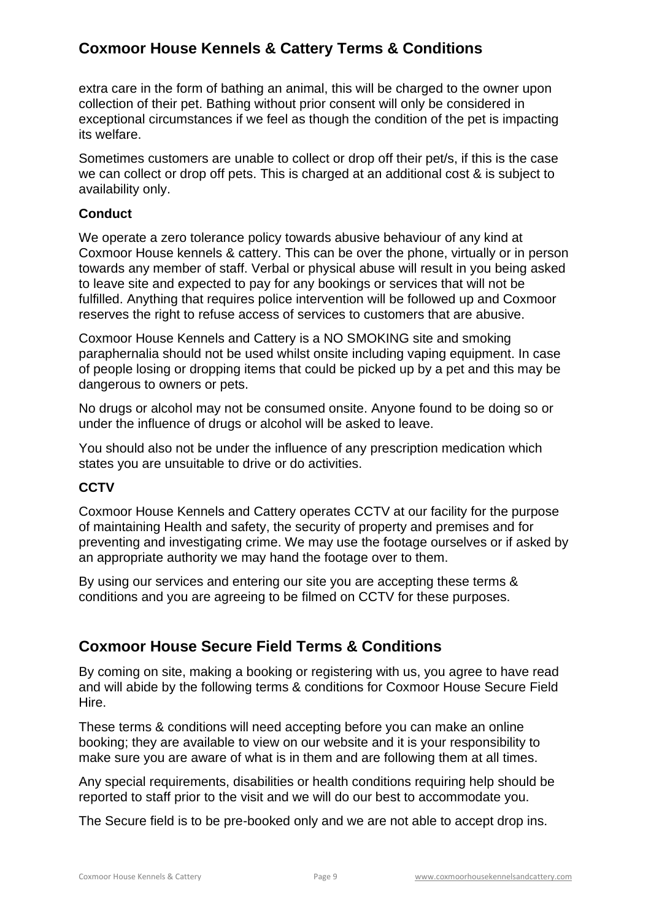extra care in the form of bathing an animal, this will be charged to the owner upon collection of their pet. Bathing without prior consent will only be considered in exceptional circumstances if we feel as though the condition of the pet is impacting its welfare.

Sometimes customers are unable to collect or drop off their pet/s, if this is the case we can collect or drop off pets. This is charged at an additional cost & is subject to availability only.

## **Conduct**

We operate a zero tolerance policy towards abusive behaviour of any kind at Coxmoor House kennels & cattery. This can be over the phone, virtually or in person towards any member of staff. Verbal or physical abuse will result in you being asked to leave site and expected to pay for any bookings or services that will not be fulfilled. Anything that requires police intervention will be followed up and Coxmoor reserves the right to refuse access of services to customers that are abusive.

Coxmoor House Kennels and Cattery is a NO SMOKING site and smoking paraphernalia should not be used whilst onsite including vaping equipment. In case of people losing or dropping items that could be picked up by a pet and this may be dangerous to owners or pets.

No drugs or alcohol may not be consumed onsite. Anyone found to be doing so or under the influence of drugs or alcohol will be asked to leave.

You should also not be under the influence of any prescription medication which states you are unsuitable to drive or do activities.

## **CCTV**

Coxmoor House Kennels and Cattery operates CCTV at our facility for the purpose of maintaining Health and safety, the security of property and premises and for preventing and investigating crime. We may use the footage ourselves or if asked by an appropriate authority we may hand the footage over to them.

By using our services and entering our site you are accepting these terms & conditions and you are agreeing to be filmed on CCTV for these purposes.

## **Coxmoor House Secure Field Terms & Conditions**

By coming on site, making a booking or registering with us, you agree to have read and will abide by the following terms & conditions for Coxmoor House Secure Field Hire.

These terms & conditions will need accepting before you can make an online booking; they are available to view on our website and it is your responsibility to make sure you are aware of what is in them and are following them at all times.

Any special requirements, disabilities or health conditions requiring help should be reported to staff prior to the visit and we will do our best to accommodate you.

The Secure field is to be pre-booked only and we are not able to accept drop ins.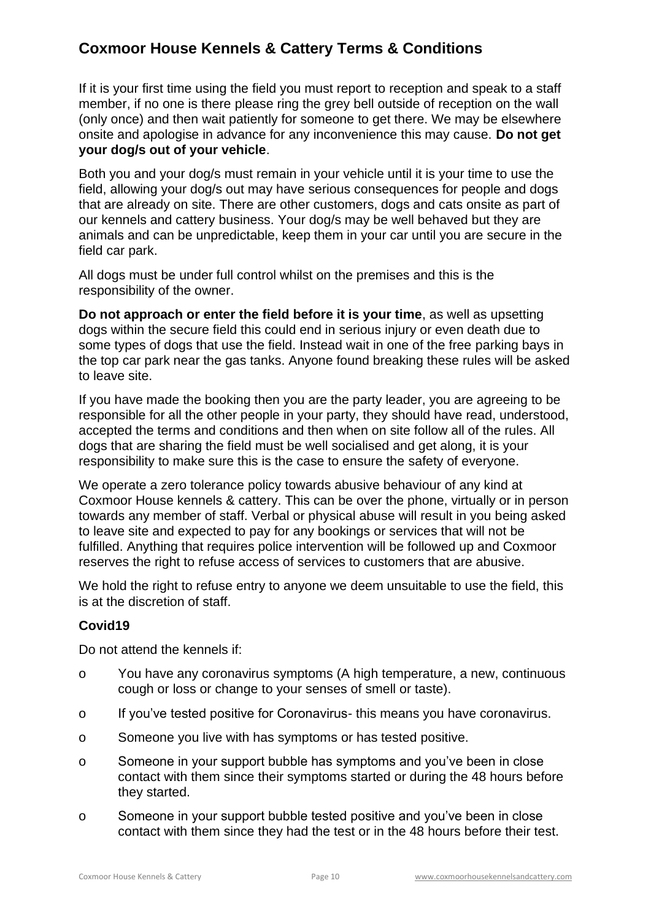If it is your first time using the field you must report to reception and speak to a staff member, if no one is there please ring the grey bell outside of reception on the wall (only once) and then wait patiently for someone to get there. We may be elsewhere onsite and apologise in advance for any inconvenience this may cause. **Do not get your dog/s out of your vehicle**.

Both you and your dog/s must remain in your vehicle until it is your time to use the field, allowing your dog/s out may have serious consequences for people and dogs that are already on site. There are other customers, dogs and cats onsite as part of our kennels and cattery business. Your dog/s may be well behaved but they are animals and can be unpredictable, keep them in your car until you are secure in the field car park.

All dogs must be under full control whilst on the premises and this is the responsibility of the owner.

**Do not approach or enter the field before it is your time**, as well as upsetting dogs within the secure field this could end in serious injury or even death due to some types of dogs that use the field. Instead wait in one of the free parking bays in the top car park near the gas tanks. Anyone found breaking these rules will be asked to leave site.

If you have made the booking then you are the party leader, you are agreeing to be responsible for all the other people in your party, they should have read, understood, accepted the terms and conditions and then when on site follow all of the rules. All dogs that are sharing the field must be well socialised and get along, it is your responsibility to make sure this is the case to ensure the safety of everyone.

We operate a zero tolerance policy towards abusive behaviour of any kind at Coxmoor House kennels & cattery. This can be over the phone, virtually or in person towards any member of staff. Verbal or physical abuse will result in you being asked to leave site and expected to pay for any bookings or services that will not be fulfilled. Anything that requires police intervention will be followed up and Coxmoor reserves the right to refuse access of services to customers that are abusive.

We hold the right to refuse entry to anyone we deem unsuitable to use the field, this is at the discretion of staff.

## **Covid19**

Do not attend the kennels if:

- o You have any coronavirus symptoms (A high temperature, a new, continuous cough or loss or change to your senses of smell or taste).
- o If you've tested positive for Coronavirus- this means you have coronavirus.
- o Someone you live with has symptoms or has tested positive.
- o Someone in your support bubble has symptoms and you've been in close contact with them since their symptoms started or during the 48 hours before they started.
- o Someone in your support bubble tested positive and you've been in close contact with them since they had the test or in the 48 hours before their test.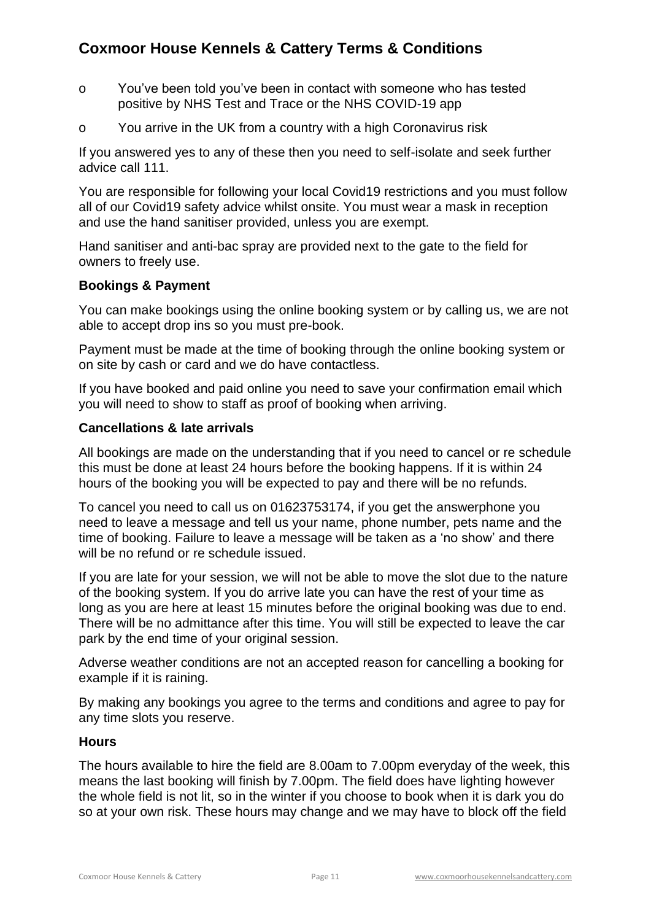- o You've been told you've been in contact with someone who has tested positive by NHS Test and Trace or the NHS COVID-19 app
- o You arrive in the UK from a country with a high Coronavirus risk

If you answered yes to any of these then you need to self-isolate and seek further advice call 111.

You are responsible for following your local Covid19 restrictions and you must follow all of our Covid19 safety advice whilst onsite. You must wear a mask in reception and use the hand sanitiser provided, unless you are exempt.

Hand sanitiser and anti-bac spray are provided next to the gate to the field for owners to freely use.

## **Bookings & Payment**

You can make bookings using the online booking system or by calling us, we are not able to accept drop ins so you must pre-book.

Payment must be made at the time of booking through the online booking system or on site by cash or card and we do have contactless.

If you have booked and paid online you need to save your confirmation email which you will need to show to staff as proof of booking when arriving.

## **Cancellations & late arrivals**

All bookings are made on the understanding that if you need to cancel or re schedule this must be done at least 24 hours before the booking happens. If it is within 24 hours of the booking you will be expected to pay and there will be no refunds.

To cancel you need to call us on 01623753174, if you get the answerphone you need to leave a message and tell us your name, phone number, pets name and the time of booking. Failure to leave a message will be taken as a 'no show' and there will be no refund or re schedule issued.

If you are late for your session, we will not be able to move the slot due to the nature of the booking system. If you do arrive late you can have the rest of your time as long as you are here at least 15 minutes before the original booking was due to end. There will be no admittance after this time. You will still be expected to leave the car park by the end time of your original session.

Adverse weather conditions are not an accepted reason for cancelling a booking for example if it is raining.

By making any bookings you agree to the terms and conditions and agree to pay for any time slots you reserve.

## **Hours**

The hours available to hire the field are 8.00am to 7.00pm everyday of the week, this means the last booking will finish by 7.00pm. The field does have lighting however the whole field is not lit, so in the winter if you choose to book when it is dark you do so at your own risk. These hours may change and we may have to block off the field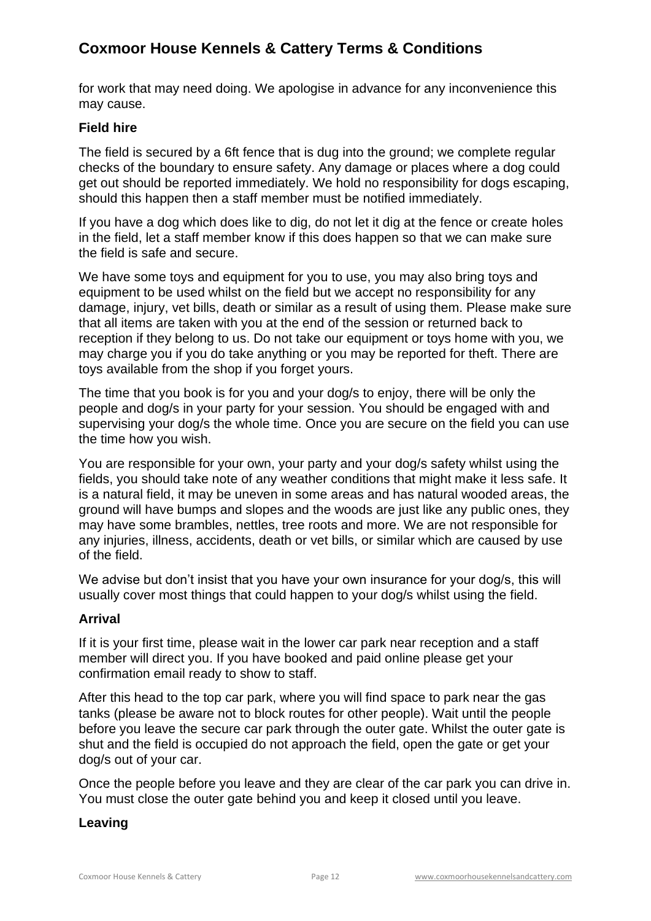for work that may need doing. We apologise in advance for any inconvenience this may cause.

## **Field hire**

The field is secured by a 6ft fence that is dug into the ground; we complete regular checks of the boundary to ensure safety. Any damage or places where a dog could get out should be reported immediately. We hold no responsibility for dogs escaping, should this happen then a staff member must be notified immediately.

If you have a dog which does like to dig, do not let it dig at the fence or create holes in the field, let a staff member know if this does happen so that we can make sure the field is safe and secure.

We have some toys and equipment for you to use, you may also bring toys and equipment to be used whilst on the field but we accept no responsibility for any damage, injury, vet bills, death or similar as a result of using them. Please make sure that all items are taken with you at the end of the session or returned back to reception if they belong to us. Do not take our equipment or toys home with you, we may charge you if you do take anything or you may be reported for theft. There are toys available from the shop if you forget yours.

The time that you book is for you and your dog/s to enjoy, there will be only the people and dog/s in your party for your session. You should be engaged with and supervising your dog/s the whole time. Once you are secure on the field you can use the time how you wish.

You are responsible for your own, your party and your dog/s safety whilst using the fields, you should take note of any weather conditions that might make it less safe. It is a natural field, it may be uneven in some areas and has natural wooded areas, the ground will have bumps and slopes and the woods are just like any public ones, they may have some brambles, nettles, tree roots and more. We are not responsible for any injuries, illness, accidents, death or vet bills, or similar which are caused by use of the field.

We advise but don't insist that you have your own insurance for your dog/s, this will usually cover most things that could happen to your dog/s whilst using the field.

## **Arrival**

If it is your first time, please wait in the lower car park near reception and a staff member will direct you. If you have booked and paid online please get your confirmation email ready to show to staff.

After this head to the top car park, where you will find space to park near the gas tanks (please be aware not to block routes for other people). Wait until the people before you leave the secure car park through the outer gate. Whilst the outer gate is shut and the field is occupied do not approach the field, open the gate or get your dog/s out of your car.

Once the people before you leave and they are clear of the car park you can drive in. You must close the outer gate behind you and keep it closed until you leave.

## **Leaving**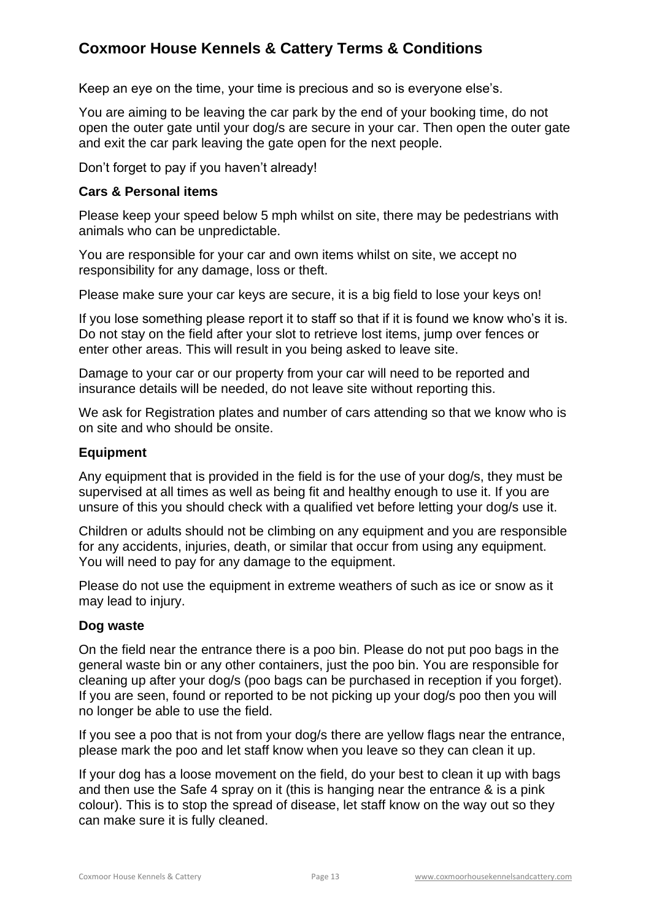Keep an eye on the time, your time is precious and so is everyone else's.

You are aiming to be leaving the car park by the end of your booking time, do not open the outer gate until your dog/s are secure in your car. Then open the outer gate and exit the car park leaving the gate open for the next people.

Don't forget to pay if you haven't already!

#### **Cars & Personal items**

Please keep your speed below 5 mph whilst on site, there may be pedestrians with animals who can be unpredictable.

You are responsible for your car and own items whilst on site, we accept no responsibility for any damage, loss or theft.

Please make sure your car keys are secure, it is a big field to lose your keys on!

If you lose something please report it to staff so that if it is found we know who's it is. Do not stay on the field after your slot to retrieve lost items, jump over fences or enter other areas. This will result in you being asked to leave site.

Damage to your car or our property from your car will need to be reported and insurance details will be needed, do not leave site without reporting this.

We ask for Registration plates and number of cars attending so that we know who is on site and who should be onsite.

#### **Equipment**

Any equipment that is provided in the field is for the use of your dog/s, they must be supervised at all times as well as being fit and healthy enough to use it. If you are unsure of this you should check with a qualified vet before letting your dog/s use it.

Children or adults should not be climbing on any equipment and you are responsible for any accidents, injuries, death, or similar that occur from using any equipment. You will need to pay for any damage to the equipment.

Please do not use the equipment in extreme weathers of such as ice or snow as it may lead to injury.

#### **Dog waste**

On the field near the entrance there is a poo bin. Please do not put poo bags in the general waste bin or any other containers, just the poo bin. You are responsible for cleaning up after your dog/s (poo bags can be purchased in reception if you forget). If you are seen, found or reported to be not picking up your dog/s poo then you will no longer be able to use the field.

If you see a poo that is not from your dog/s there are yellow flags near the entrance, please mark the poo and let staff know when you leave so they can clean it up.

If your dog has a loose movement on the field, do your best to clean it up with bags and then use the Safe 4 spray on it (this is hanging near the entrance & is a pink colour). This is to stop the spread of disease, let staff know on the way out so they can make sure it is fully cleaned.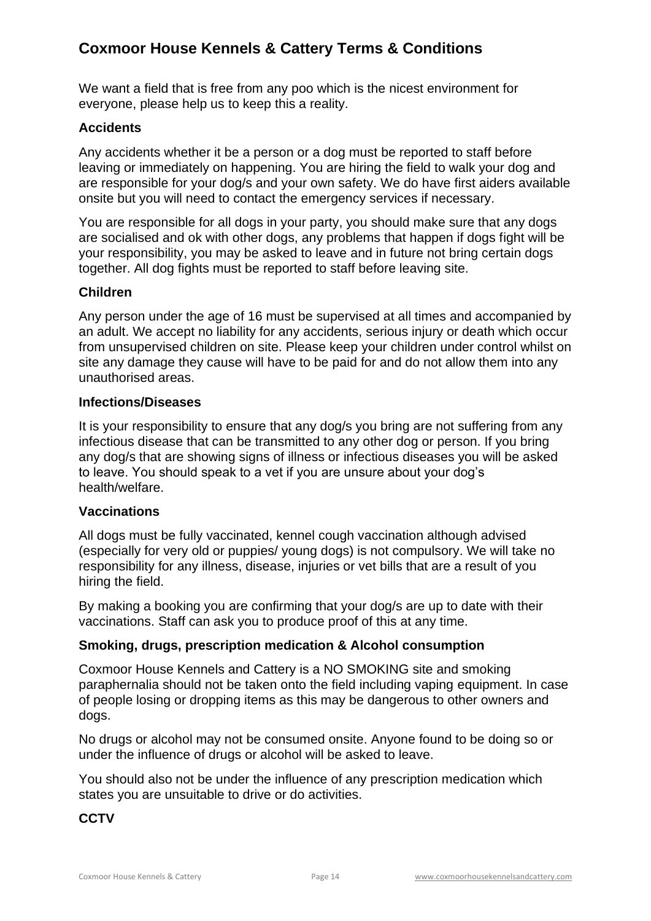We want a field that is free from any poo which is the nicest environment for everyone, please help us to keep this a reality.

#### **Accidents**

Any accidents whether it be a person or a dog must be reported to staff before leaving or immediately on happening. You are hiring the field to walk your dog and are responsible for your dog/s and your own safety. We do have first aiders available onsite but you will need to contact the emergency services if necessary.

You are responsible for all dogs in your party, you should make sure that any dogs are socialised and ok with other dogs, any problems that happen if dogs fight will be your responsibility, you may be asked to leave and in future not bring certain dogs together. All dog fights must be reported to staff before leaving site.

## **Children**

Any person under the age of 16 must be supervised at all times and accompanied by an adult. We accept no liability for any accidents, serious injury or death which occur from unsupervised children on site. Please keep your children under control whilst on site any damage they cause will have to be paid for and do not allow them into any unauthorised areas.

#### **Infections/Diseases**

It is your responsibility to ensure that any dog/s you bring are not suffering from any infectious disease that can be transmitted to any other dog or person. If you bring any dog/s that are showing signs of illness or infectious diseases you will be asked to leave. You should speak to a vet if you are unsure about your dog's health/welfare.

#### **Vaccinations**

All dogs must be fully vaccinated, kennel cough vaccination although advised (especially for very old or puppies/ young dogs) is not compulsory. We will take no responsibility for any illness, disease, injuries or vet bills that are a result of you hiring the field.

By making a booking you are confirming that your dog/s are up to date with their vaccinations. Staff can ask you to produce proof of this at any time.

#### **Smoking, drugs, prescription medication & Alcohol consumption**

Coxmoor House Kennels and Cattery is a NO SMOKING site and smoking paraphernalia should not be taken onto the field including vaping equipment. In case of people losing or dropping items as this may be dangerous to other owners and dogs.

No drugs or alcohol may not be consumed onsite. Anyone found to be doing so or under the influence of drugs or alcohol will be asked to leave.

You should also not be under the influence of any prescription medication which states you are unsuitable to drive or do activities.

#### **CCTV**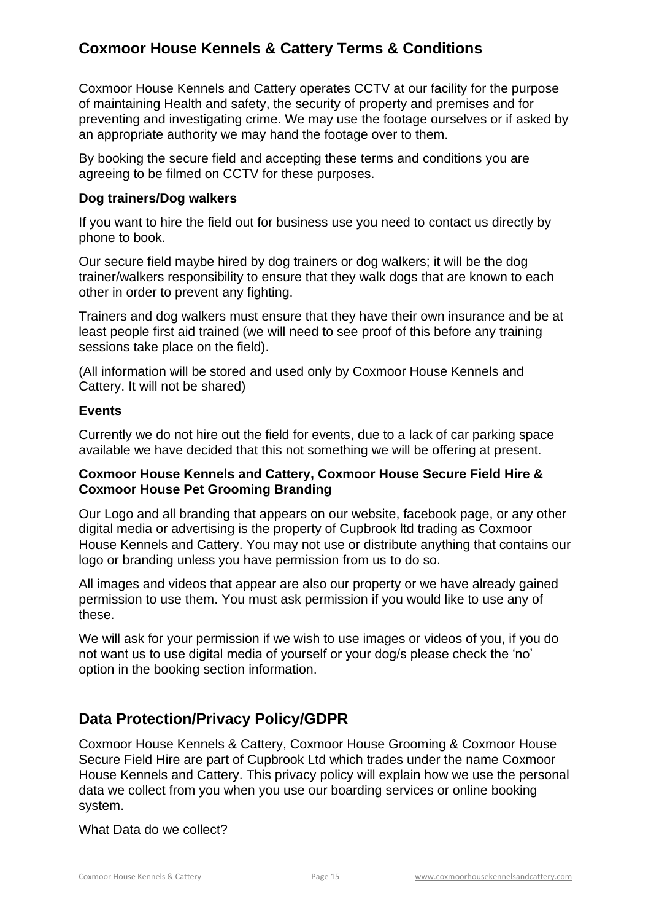Coxmoor House Kennels and Cattery operates CCTV at our facility for the purpose of maintaining Health and safety, the security of property and premises and for preventing and investigating crime. We may use the footage ourselves or if asked by an appropriate authority we may hand the footage over to them.

By booking the secure field and accepting these terms and conditions you are agreeing to be filmed on CCTV for these purposes.

#### **Dog trainers/Dog walkers**

If you want to hire the field out for business use you need to contact us directly by phone to book.

Our secure field maybe hired by dog trainers or dog walkers; it will be the dog trainer/walkers responsibility to ensure that they walk dogs that are known to each other in order to prevent any fighting.

Trainers and dog walkers must ensure that they have their own insurance and be at least people first aid trained (we will need to see proof of this before any training sessions take place on the field).

(All information will be stored and used only by Coxmoor House Kennels and Cattery. It will not be shared)

#### **Events**

Currently we do not hire out the field for events, due to a lack of car parking space available we have decided that this not something we will be offering at present.

## **Coxmoor House Kennels and Cattery, Coxmoor House Secure Field Hire & Coxmoor House Pet Grooming Branding**

Our Logo and all branding that appears on our website, facebook page, or any other digital media or advertising is the property of Cupbrook ltd trading as Coxmoor House Kennels and Cattery. You may not use or distribute anything that contains our logo or branding unless you have permission from us to do so.

All images and videos that appear are also our property or we have already gained permission to use them. You must ask permission if you would like to use any of these.

We will ask for your permission if we wish to use images or videos of you, if you do not want us to use digital media of yourself or your dog/s please check the 'no' option in the booking section information.

# **Data Protection/Privacy Policy/GDPR**

Coxmoor House Kennels & Cattery, Coxmoor House Grooming & Coxmoor House Secure Field Hire are part of Cupbrook Ltd which trades under the name Coxmoor House Kennels and Cattery. This privacy policy will explain how we use the personal data we collect from you when you use our boarding services or online booking system.

What Data do we collect?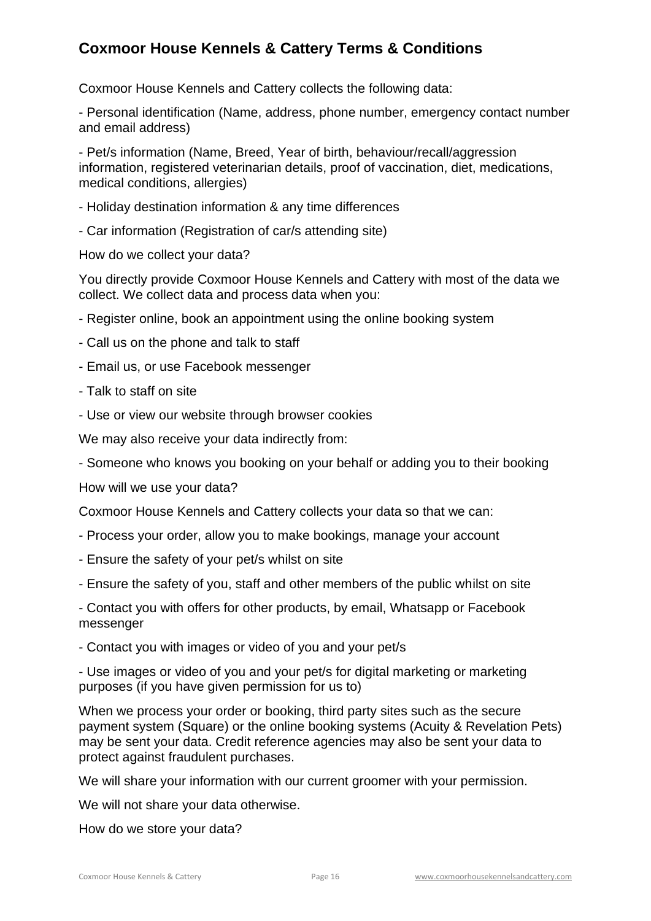Coxmoor House Kennels and Cattery collects the following data:

- Personal identification (Name, address, phone number, emergency contact number and email address)

- Pet/s information (Name, Breed, Year of birth, behaviour/recall/aggression information, registered veterinarian details, proof of vaccination, diet, medications, medical conditions, allergies)

- Holiday destination information & any time differences
- Car information (Registration of car/s attending site)

How do we collect your data?

You directly provide Coxmoor House Kennels and Cattery with most of the data we collect. We collect data and process data when you:

- Register online, book an appointment using the online booking system
- Call us on the phone and talk to staff
- Email us, or use Facebook messenger
- Talk to staff on site
- Use or view our website through browser cookies

We may also receive your data indirectly from:

- Someone who knows you booking on your behalf or adding you to their booking

How will we use your data?

Coxmoor House Kennels and Cattery collects your data so that we can:

- Process your order, allow you to make bookings, manage your account
- Ensure the safety of your pet/s whilst on site
- Ensure the safety of you, staff and other members of the public whilst on site

- Contact you with offers for other products, by email, Whatsapp or Facebook messenger

- Contact you with images or video of you and your pet/s

- Use images or video of you and your pet/s for digital marketing or marketing purposes (if you have given permission for us to)

When we process your order or booking, third party sites such as the secure payment system (Square) or the online booking systems (Acuity & Revelation Pets) may be sent your data. Credit reference agencies may also be sent your data to protect against fraudulent purchases.

We will share your information with our current groomer with your permission.

We will not share your data otherwise.

How do we store your data?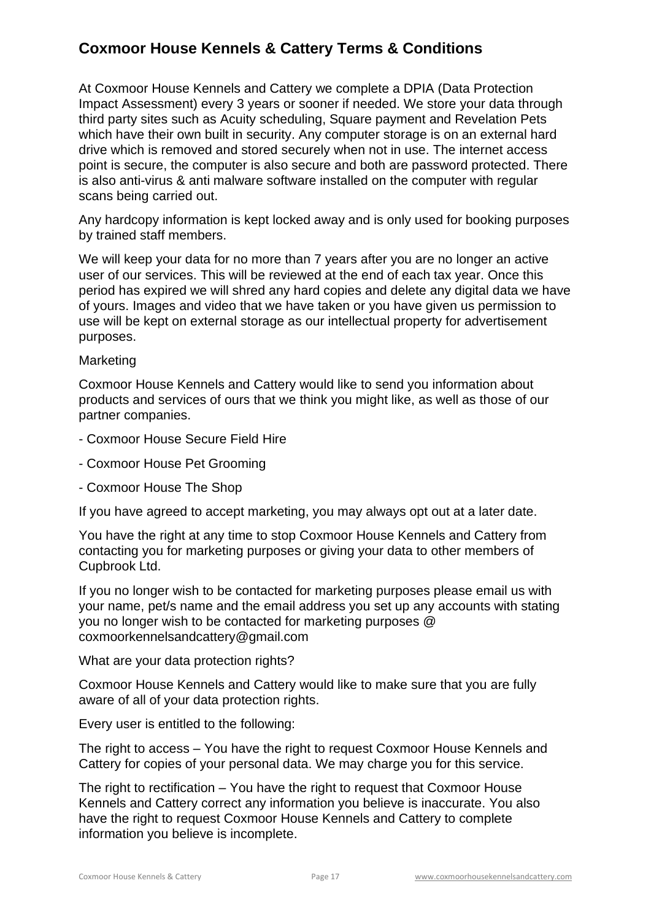At Coxmoor House Kennels and Cattery we complete a DPIA (Data Protection Impact Assessment) every 3 years or sooner if needed. We store your data through third party sites such as Acuity scheduling, Square payment and Revelation Pets which have their own built in security. Any computer storage is on an external hard drive which is removed and stored securely when not in use. The internet access point is secure, the computer is also secure and both are password protected. There is also anti-virus & anti malware software installed on the computer with regular scans being carried out.

Any hardcopy information is kept locked away and is only used for booking purposes by trained staff members.

We will keep your data for no more than 7 years after you are no longer an active user of our services. This will be reviewed at the end of each tax year. Once this period has expired we will shred any hard copies and delete any digital data we have of yours. Images and video that we have taken or you have given us permission to use will be kept on external storage as our intellectual property for advertisement purposes.

#### **Marketing**

Coxmoor House Kennels and Cattery would like to send you information about products and services of ours that we think you might like, as well as those of our partner companies.

- Coxmoor House Secure Field Hire
- Coxmoor House Pet Grooming
- Coxmoor House The Shop

If you have agreed to accept marketing, you may always opt out at a later date.

You have the right at any time to stop Coxmoor House Kennels and Cattery from contacting you for marketing purposes or giving your data to other members of Cupbrook Ltd.

If you no longer wish to be contacted for marketing purposes please email us with your name, pet/s name and the email address you set up any accounts with stating you no longer wish to be contacted for marketing purposes @ coxmoorkennelsandcattery@gmail.com

What are your data protection rights?

Coxmoor House Kennels and Cattery would like to make sure that you are fully aware of all of your data protection rights.

Every user is entitled to the following:

The right to access – You have the right to request Coxmoor House Kennels and Cattery for copies of your personal data. We may charge you for this service.

The right to rectification – You have the right to request that Coxmoor House Kennels and Cattery correct any information you believe is inaccurate. You also have the right to request Coxmoor House Kennels and Cattery to complete information you believe is incomplete.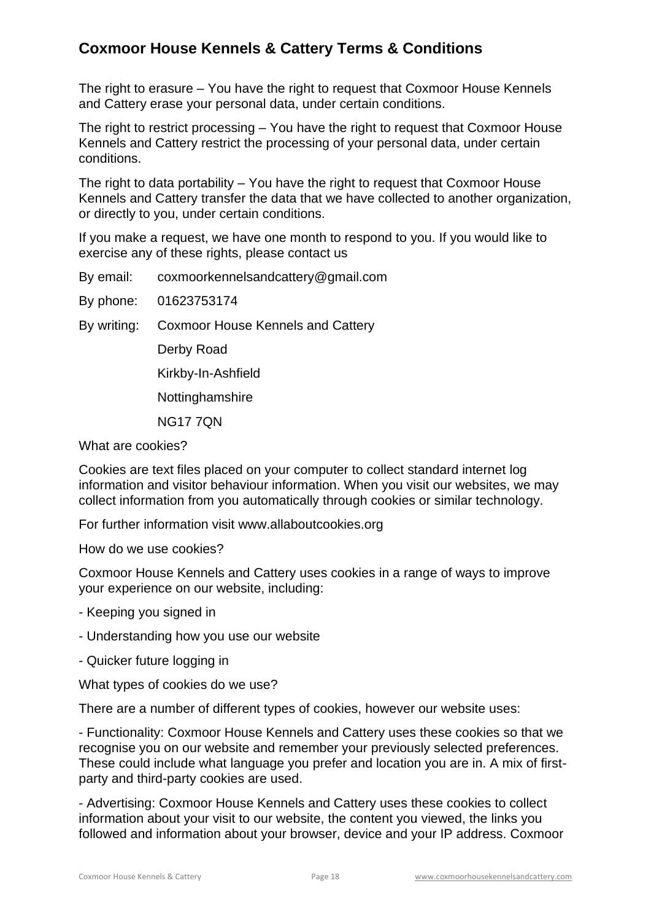The right to erasure – You have the right to request that Coxmoor House Kennels and Cattery erase your personal data, under certain conditions.

The right to restrict processing – You have the right to request that Coxmoor House Kennels and Cattery restrict the processing of your personal data, under certain conditions.

The right to data portability – You have the right to request that Coxmoor House Kennels and Cattery transfer the data that we have collected to another organization, or directly to you, under certain conditions.

If you make a request, we have one month to respond to you. If you would like to exercise any of these rights, please contact us

By email: coxmoorkennelsandcattery@gmail.com

By phone: 01623753174

By writing: Coxmoor House Kennels and Cattery

Derby Road

Kirkby-In-Ashfield

**Nottinghamshire** 

NG17 7QN

What are cookies?

Cookies are text files placed on your computer to collect standard internet log information and visitor behaviour information. When you visit our websites, we may collect information from you automatically through cookies or similar technology.

For further information visit www.allaboutcookies.org

How do we use cookies?

Coxmoor House Kennels and Cattery uses cookies in a range of ways to improve your experience on our website, including:

- Keeping you signed in

- Understanding how you use our website

- Quicker future logging in

What types of cookies do we use?

There are a number of different types of cookies, however our website uses:

- Functionality: Coxmoor House Kennels and Cattery uses these cookies so that we recognise you on our website and remember your previously selected preferences. These could include what language you prefer and location you are in. A mix of firstparty and third-party cookies are used.

- Advertising: Coxmoor House Kennels and Cattery uses these cookies to collect information about your visit to our website, the content you viewed, the links you followed and information about your browser, device and your IP address. Coxmoor